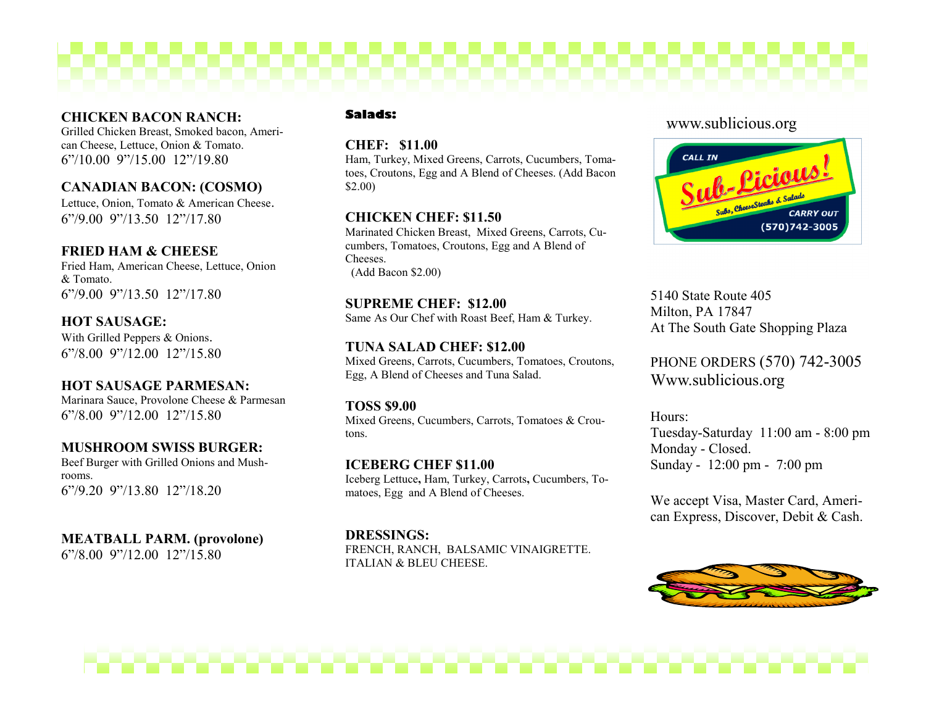# **CHICKEN BACON RANCH:**

Grilled Chicken Breast, Smoked bacon, American Cheese, Lettuce, Onion & Tomato. 6"/10.00 9"/15.00 12"/19.80

# **CANADIAN BACON: (COSMO)**

Lettuce, Onion, Tomato & American Cheese. 6"/9.00 9"/13.50 12"/17.80

# **FRIED HAM & CHEESE**

Fried Ham, American Cheese, Lettuce, Onion & Tomato. 6"/9.00 9"/13.50 12"/17.80

**HOT SAUSAGE:** With Grilled Peppers & Onions. 6"/8.00 9"/12.00 12"/15.80

# **HOT SAUSAGE PARMESAN:**

Marinara Sauce, Provolone Cheese & Parmesan 6"/8.00 9"/12.00 12"/15.80

# **MUSHROOM SWISS BURGER:**

Beef Burger with Grilled Onions and Mushrooms. 6"/9.20 9"/13.80 12"/18.20

**MEATBALL PARM. (provolone)** 6"/8.00 9"/12.00 12"/15.80

#### **Salads:**

## **CHEF: \$11.00**

Ham, Turkey, Mixed Greens, Carrots, Cucumbers, Tomatoes, Croutons, Egg and A Blend of Cheeses. (Add Bacon \$2.00)

## **CHICKEN CHEF: \$11.50**

Marinated Chicken Breast, Mixed Greens, Carrots, Cucumbers, Tomatoes, Croutons, Egg and A Blend of Cheeses. (Add Bacon \$2.00)

#### **SUPREME CHEF: \$12.00** Same As Our Chef with Roast Beef, Ham & Turkey.

**TUNA SALAD CHEF: \$12.00** Mixed Greens, Carrots, Cucumbers, Tomatoes, Croutons, Egg, A Blend of Cheeses and Tuna Salad.

**TOSS \$9.00**  Mixed Greens, Cucumbers, Carrots, Tomatoes & Croutons.

**ICEBERG CHEF \$11.00** Iceberg Lettuce**,** Ham, Turkey, Carrots**,** Cucumbers, Tomatoes, Egg and A Blend of Cheeses.

**DRESSINGS:** FRENCH, RANCH, BALSAMIC VINAIGRETTE. ITALIAN & BLEU CHEESE.

# www.sublicious.org



5140 State Route 405 Milton, PA 17847 At The South Gate Shopping Plaza

PHONE ORDERS (570) 742-3005 Www.sublicious.org

Hours: Tuesday-Saturday 11:00 am - 8:00 pm Monday - Closed. Sunday - 12:00 pm - 7:00 pm

We accept Visa, Master Card, American Express, Discover, Debit & Cash.